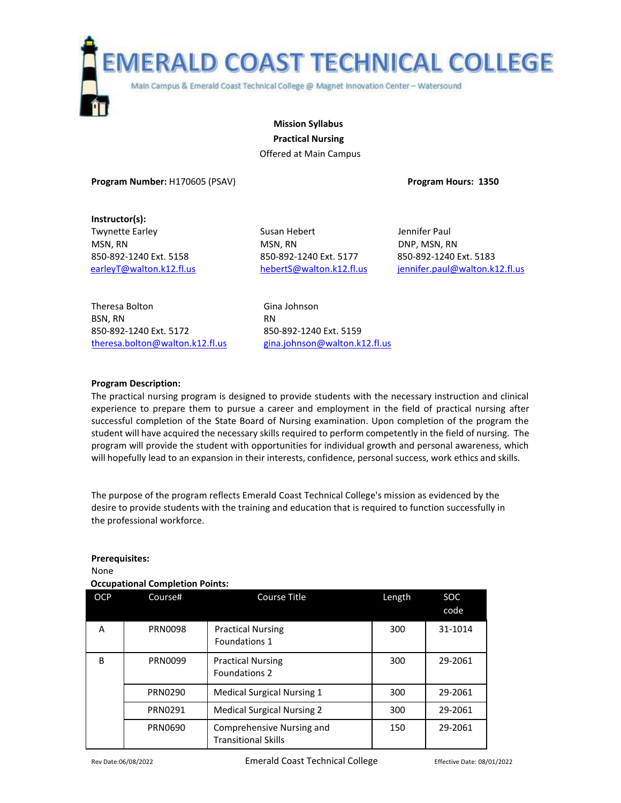

**Mission Syllabus Practical Nursing** Offered at Main Campus

**Program Number:** H170605 (PSAV) **Program Hours: 1350**

**Instructor(s):**

Twynette Earley **Susan Hebert** Alleman Membert Jennifer Paul MSN, RN DNP, MSN, RN DNP, MSN, RN 850-892-1240 Ext. 5158 850-892-1240 Ext. 5177 850-892-1240 Ext. 5183

[earleyT@walton.k12.fl.us](mailto:earleyT@walton.k12.fl.us) [hebertS@walton.k12.fl.us](mailto:hebertS@walton.k12.fl.us) [jennifer.paul@walton.k12.fl.us](mailto:jennifer.paul@walton.k12.fl.us)

Theresa Bolton Gina Johnson BSN, RN RN 850-892-1240 Ext. 5172 850-892-1240 Ext. 5159 theresa.bolton@walton.k12.fl.us gina.johnson@walton.k12.fl.us

## **Program Description:**

The practical nursing program is designed to provide students with the necessary instruction and clinical experience to prepare them to pursue a career and employment in the field of practical nursing after successful completion of the State Board of Nursing examination. Upon completion of the program the student will have acquired the necessary skills required to perform competently in the field of nursing. The program will provide the student with opportunities for individual growth and personal awareness, which will hopefully lead to an expansion in their interests, confidence, personal success, work ethics and skills.

The purpose of the program reflects Emerald Coast Technical College's mission as evidenced by the desire to provide students with the training and education that is required to function successfully in the professional workforce.

# **Prerequisites:**

None

# **Occupational Completion Points:**

| <b>OCP</b> | Course#        | <b>Course Title</b>                                     | Length | <b>SOC</b><br>code |
|------------|----------------|---------------------------------------------------------|--------|--------------------|
| A          | <b>PRN0098</b> | <b>Practical Nursing</b><br>Foundations 1               | 300    | 31-1014            |
| B          | PRN0099        | <b>Practical Nursing</b><br>Foundations 2               | 300    | 29-2061            |
|            | PRN0290        | <b>Medical Surgical Nursing 1</b>                       | 300    | 29-2061            |
|            | PRN0291        | <b>Medical Surgical Nursing 2</b>                       | 300    | 29-2061            |
|            | PRN0690        | Comprehensive Nursing and<br><b>Transitional Skills</b> | 150    | 29-2061            |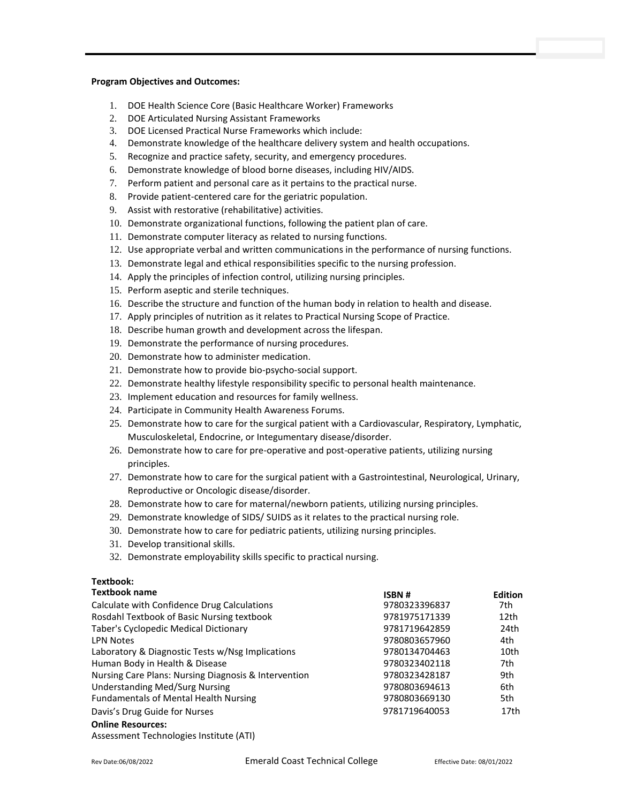#### **Program Objectives and Outcomes:**

- 1. DOE Health Science Core (Basic Healthcare Worker) Frameworks
- 2. DOE Articulated Nursing Assistant Frameworks
- 3. DOE Licensed Practical Nurse Frameworks which include:
- 4. Demonstrate knowledge of the healthcare delivery system and health occupations.
- 5. Recognize and practice safety, security, and emergency procedures.
- 6. Demonstrate knowledge of blood borne diseases, including HIV/AIDS.
- 7. Perform patient and personal care as it pertains to the practical nurse.
- 8. Provide patient-centered care for the geriatric population.
- 9. Assist with restorative (rehabilitative) activities.
- 10. Demonstrate organizational functions, following the patient plan of care.
- 11. Demonstrate computer literacy as related to nursing functions.
- 12. Use appropriate verbal and written communications in the performance of nursing functions.
- 13. Demonstrate legal and ethical responsibilities specific to the nursing profession.
- 14. Apply the principles of infection control, utilizing nursing principles.
- 15. Perform aseptic and sterile techniques.
- 16. Describe the structure and function of the human body in relation to health and disease.
- 17. Apply principles of nutrition as it relates to Practical Nursing Scope of Practice.
- 18. Describe human growth and development across the lifespan.
- 19. Demonstrate the performance of nursing procedures.
- 20. Demonstrate how to administer medication.
- 21. Demonstrate how to provide bio-psycho-social support.
- 22. Demonstrate healthy lifestyle responsibility specific to personal health maintenance.
- 23. Implement education and resources for family wellness.
- 24. Participate in Community Health Awareness Forums.
- 25. Demonstrate how to care for the surgical patient with a Cardiovascular, Respiratory, Lymphatic, Musculoskeletal, Endocrine, or Integumentary disease/disorder.
- 26. Demonstrate how to care for pre-operative and post-operative patients, utilizing nursing principles.
- 27. Demonstrate how to care for the surgical patient with a Gastrointestinal, Neurological, Urinary, Reproductive or Oncologic disease/disorder.
- 28. Demonstrate how to care for maternal/newborn patients, utilizing nursing principles.
- 29. Demonstrate knowledge of SIDS/ SUIDS as it relates to the practical nursing role.
- 30. Demonstrate how to care for pediatric patients, utilizing nursing principles.
- 31. Develop transitional skills.
- 32. Demonstrate employability skills specific to practical nursing.

## **Textbook:**

| <b>Textbook name</b>                                 | ISBN#         | <b>Edition</b> |
|------------------------------------------------------|---------------|----------------|
| Calculate with Confidence Drug Calculations          | 9780323396837 | 7th.           |
| Rosdahl Textbook of Basic Nursing textbook           | 9781975171339 | 12th           |
| Taber's Cyclopedic Medical Dictionary                | 9781719642859 | 24th           |
| <b>LPN Notes</b>                                     | 9780803657960 | 4th            |
| Laboratory & Diagnostic Tests w/Nsg Implications     | 9780134704463 | 10th           |
| Human Body in Health & Disease                       | 9780323402118 | 7th            |
| Nursing Care Plans: Nursing Diagnosis & Intervention | 9780323428187 | 9th            |
| <b>Understanding Med/Surg Nursing</b>                | 9780803694613 | 6th            |
| <b>Fundamentals of Mental Health Nursing</b>         | 9780803669130 | 5th            |
| Davis's Drug Guide for Nurses                        | 9781719640053 | 17th           |
| <b>Online Resources:</b>                             |               |                |

Assessment Technologies Institute (ATI)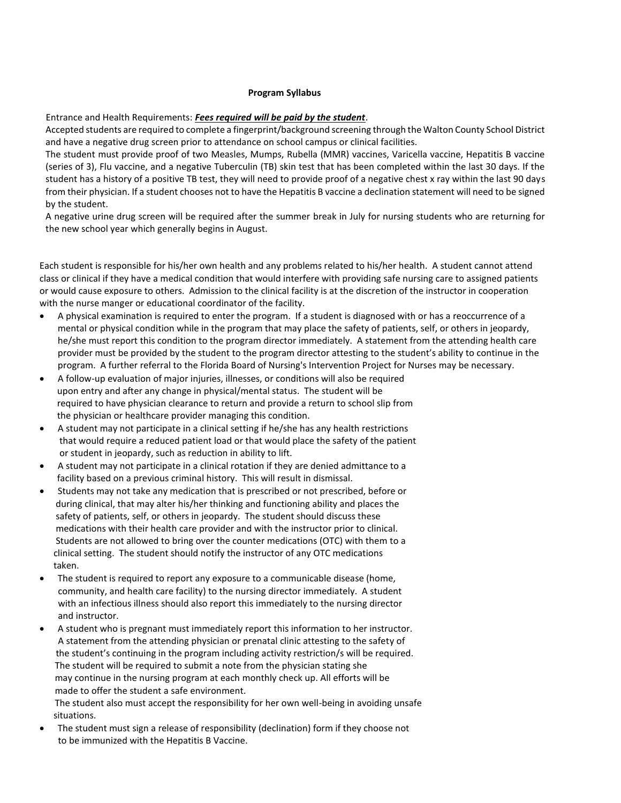#### **Program Syllabus**

#### Entrance and Health Requirements: *Fees required will be paid by the student*.

Accepted students are required to complete a fingerprint/background screening through the Walton County School District and have a negative drug screen prior to attendance on school campus or clinical facilities.

The student must provide proof of two Measles, Mumps, Rubella (MMR) vaccines, Varicella vaccine, Hepatitis B vaccine (series of 3), Flu vaccine, and a negative Tuberculin (TB) skin test that has been completed within the last 30 days. If the student has a history of a positive TB test, they will need to provide proof of a negative chest x ray within the last 90 days from their physician. If a student chooses not to have the Hepatitis B vaccine a declination statement will need to be signed by the student.

A negative urine drug screen will be required after the summer break in July for nursing students who are returning for the new school year which generally begins in August.

Each student is responsible for his/her own health and any problems related to his/her health. A student cannot attend class or clinical if they have a medical condition that would interfere with providing safe nursing care to assigned patients or would cause exposure to others. Admission to the clinical facility is at the discretion of the instructor in cooperation with the nurse manger or educational coordinator of the facility.

- A physical examination is required to enter the program. If a student is diagnosed with or has a reoccurrence of a mental or physical condition while in the program that may place the safety of patients, self, or others in jeopardy, he/she must report this condition to the program director immediately. A statement from the attending health care provider must be provided by the student to the program director attesting to the student's ability to continue in the program. A further referral to the Florida Board of Nursing's Intervention Project for Nurses may be necessary.
- A follow-up evaluation of major injuries, illnesses, or conditions will also be required upon entry and after any change in physical/mental status. The student will be required to have physician clearance to return and provide a return to school slip from the physician or healthcare provider managing this condition.
- A student may not participate in a clinical setting if he/she has any health restrictions that would require a reduced patient load or that would place the safety of the patient or student in jeopardy, such as reduction in ability to lift.
- A student may not participate in a clinical rotation if they are denied admittance to a facility based on a previous criminal history. This will result in dismissal.
- Students may not take any medication that is prescribed or not prescribed, before or during clinical, that may alter his/her thinking and functioning ability and places the safety of patients, self, or others in jeopardy. The student should discuss these medications with their health care provider and with the instructor prior to clinical. Students are not allowed to bring over the counter medications (OTC) with them to a clinical setting. The student should notify the instructor of any OTC medications taken.
- The student is required to report any exposure to a communicable disease (home, community, and health care facility) to the nursing director immediately. A student with an infectious illness should also report this immediately to the nursing director and instructor.
- A student who is pregnant must immediately report this information to her instructor. A statement from the attending physician or prenatal clinic attesting to the safety of the student's continuing in the program including activity restriction/s will be required. The student will be required to submit a note from the physician stating she may continue in the nursing program at each monthly check up. All efforts will be made to offer the student a safe environment.

 The student also must accept the responsibility for her own well-being in avoiding unsafe situations.

• The student must sign a release of responsibility (declination) form if they choose not to be immunized with the Hepatitis B Vaccine.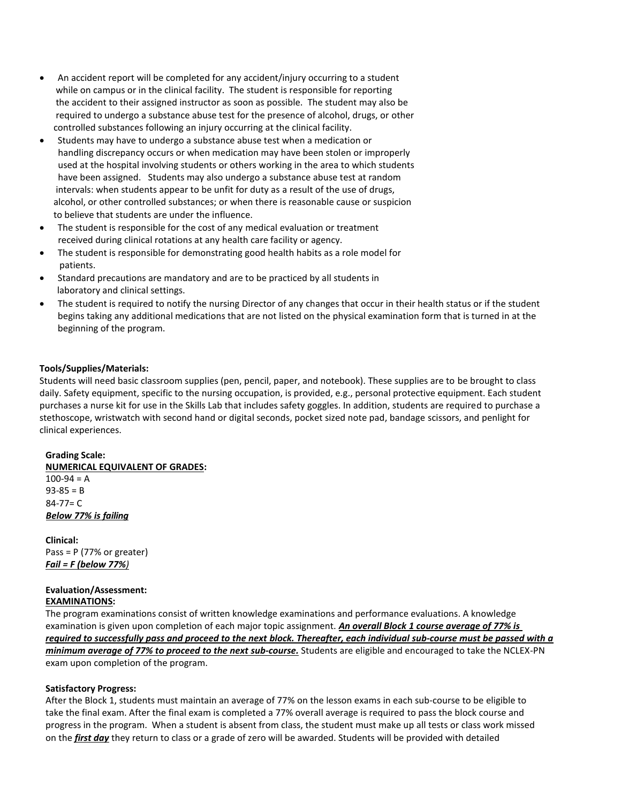- An accident report will be completed for any accident/injury occurring to a student while on campus or in the clinical facility. The student is responsible for reporting the accident to their assigned instructor as soon as possible. The student may also be required to undergo a substance abuse test for the presence of alcohol, drugs, or other controlled substances following an injury occurring at the clinical facility.
- Students may have to undergo a substance abuse test when a medication or handling discrepancy occurs or when medication may have been stolen or improperly used at the hospital involving students or others working in the area to which students have been assigned. Students may also undergo a substance abuse test at random intervals: when students appear to be unfit for duty as a result of the use of drugs, alcohol, or other controlled substances; or when there is reasonable cause or suspicion to believe that students are under the influence.
- The student is responsible for the cost of any medical evaluation or treatment received during clinical rotations at any health care facility or agency.
- The student is responsible for demonstrating good health habits as a role model for patients.
- Standard precautions are mandatory and are to be practiced by all students in laboratory and clinical settings.
- The student is required to notify the nursing Director of any changes that occur in their health status or if the student begins taking any additional medications that are not listed on the physical examination form that is turned in at the beginning of the program.

# **Tools/Supplies/Materials:**

Students will need basic classroom supplies (pen, pencil, paper, and notebook). These supplies are to be brought to class daily. Safety equipment, specific to the nursing occupation, is provided, e.g., personal protective equipment. Each student purchases a nurse kit for use in the Skills Lab that includes safety goggles. In addition, students are required to purchase a stethoscope, wristwatch with second hand or digital seconds, pocket sized note pad, bandage scissors, and penlight for clinical experiences.

#### **Grading Scale:**

**NUMERICAL EQUIVALENT OF GRADES:**  $100-94 = A$  $93-85 = B$  84-77= C *Below 77% is failing*

**Clinical:** Pass = P (77% or greater) *Fail = F (below 77%)*

## **Evaluation/Assessment: EXAMINATIONS:**

The program examinations consist of written knowledge examinations and performance evaluations. A knowledge examination is given upon completion of each major topic assignment. *An overall Block 1 course average of 77% is required to successfully pass and proceed to the next block. Thereafter, each individual sub-course must be passed with a minimum average of 77% to proceed to the next sub-course.* Students are eligible and encouraged to take the NCLEX-PN exam upon completion of the program.

# **Satisfactory Progress:**

After the Block 1, students must maintain an average of 77% on the lesson exams in each sub-course to be eligible to take the final exam. After the final exam is completed a 77% overall average is required to pass the block course and progress in the program. When a student is absent from class, the student must make up all tests or class work missed on the *first day* they return to class or a grade of zero will be awarded. Students will be provided with detailed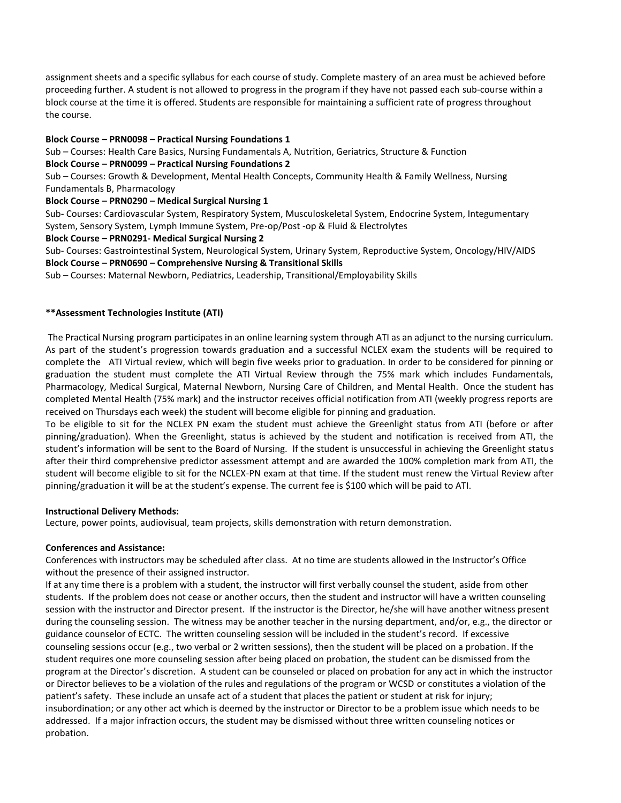assignment sheets and a specific syllabus for each course of study. Complete mastery of an area must be achieved before proceeding further. A student is not allowed to progress in the program if they have not passed each sub-course within a block course at the time it is offered. Students are responsible for maintaining a sufficient rate of progress throughout the course.

# **Block Course – PRN0098 – Practical Nursing Foundations 1**

Sub – Courses: Health Care Basics, Nursing Fundamentals A, Nutrition, Geriatrics, Structure & Function

# **Block Course – PRN0099 – Practical Nursing Foundations 2**

Sub – Courses: Growth & Development, Mental Health Concepts, Community Health & Family Wellness, Nursing Fundamentals B, Pharmacology

# **Block Course – PRN0290 – Medical Surgical Nursing 1**

Sub- Courses: Cardiovascular System, Respiratory System, Musculoskeletal System, Endocrine System, Integumentary System, Sensory System, Lymph Immune System, Pre-op/Post -op & Fluid & Electrolytes

# **Block Course – PRN0291- Medical Surgical Nursing 2**

Sub- Courses: Gastrointestinal System, Neurological System, Urinary System, Reproductive System, Oncology/HIV/AIDS **Block Course – PRN0690 – Comprehensive Nursing & Transitional Skills**

Sub – Courses: Maternal Newborn, Pediatrics, Leadership, Transitional/Employability Skills

# **\*\*Assessment Technologies Institute (ATI)**

The Practical Nursing program participates in an online learning system through ATI as an adjunct to the nursing curriculum. As part of the student's progression towards graduation and a successful NCLEX exam the students will be required to complete the ATI Virtual review, which will begin five weeks prior to graduation. In order to be considered for pinning or graduation the student must complete the ATI Virtual Review through the 75% mark which includes Fundamentals, Pharmacology, Medical Surgical, Maternal Newborn, Nursing Care of Children, and Mental Health. Once the student has completed Mental Health (75% mark) and the instructor receives official notification from ATI (weekly progress reports are received on Thursdays each week) the student will become eligible for pinning and graduation.

To be eligible to sit for the NCLEX PN exam the student must achieve the Greenlight status from ATI (before or after pinning/graduation). When the Greenlight, status is achieved by the student and notification is received from ATI, the student's information will be sent to the Board of Nursing. If the student is unsuccessful in achieving the Greenlight status after their third comprehensive predictor assessment attempt and are awarded the 100% completion mark from ATI, the student will become eligible to sit for the NCLEX-PN exam at that time. If the student must renew the Virtual Review after pinning/graduation it will be at the student's expense. The current fee is \$100 which will be paid to ATI.

# **Instructional Delivery Methods:**

Lecture, power points, audiovisual, team projects, skills demonstration with return demonstration.

# **Conferences and Assistance:**

Conferences with instructors may be scheduled after class. At no time are students allowed in the Instructor's Office without the presence of their assigned instructor.

If at any time there is a problem with a student, the instructor will first verbally counsel the student, aside from other students. If the problem does not cease or another occurs, then the student and instructor will have a written counseling session with the instructor and Director present. If the instructor is the Director, he/she will have another witness present during the counseling session. The witness may be another teacher in the nursing department, and/or, e.g., the director or guidance counselor of ECTC. The written counseling session will be included in the student's record. If excessive counseling sessions occur (e.g., two verbal or 2 written sessions), then the student will be placed on a probation. If the student requires one more counseling session after being placed on probation, the student can be dismissed from the program at the Director's discretion. A student can be counseled or placed on probation for any act in which the instructor or Director believes to be a violation of the rules and regulations of the program or WCSD or constitutes a violation of the patient's safety. These include an unsafe act of a student that places the patient or student at risk for injury; insubordination; or any other act which is deemed by the instructor or Director to be a problem issue which needs to be addressed. If a major infraction occurs, the student may be dismissed without three written counseling notices or probation.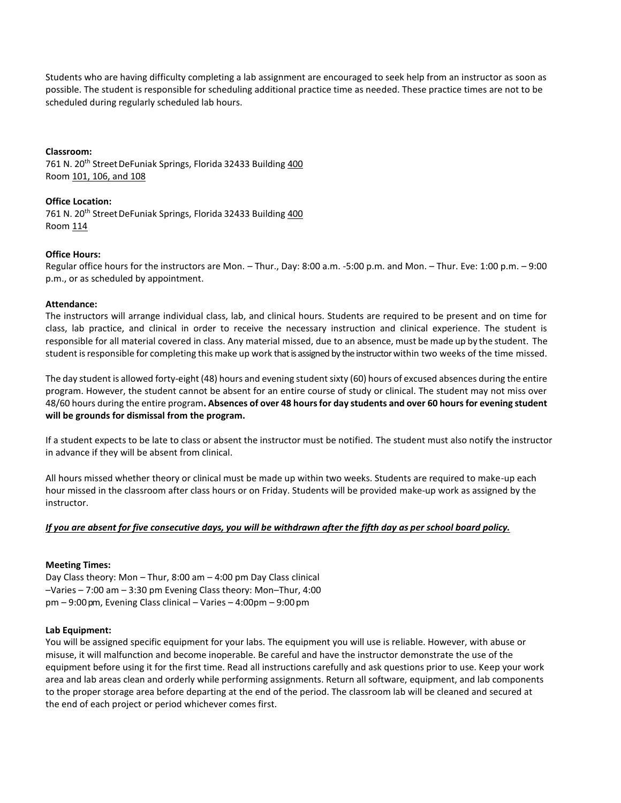Students who are having difficulty completing a lab assignment are encouraged to seek help from an instructor as soon as possible. The student is responsible for scheduling additional practice time as needed. These practice times are not to be scheduled during regularly scheduled lab hours.

## **Classroom:**

761 N. 20<sup>th</sup> Street DeFuniak Springs, Florida 32433 Building 400 Room 101, 106, and 108

## **Office Location:**

761 N. 20<sup>th</sup> Street DeFuniak Springs, Florida 32433 Building 400 Room 114

## **Office Hours:**

Regular office hours for the instructors are Mon. – Thur., Day: 8:00 a.m. -5:00 p.m. and Mon. – Thur. Eve: 1:00 p.m. – 9:00 p.m., or as scheduled by appointment.

## **Attendance:**

The instructors will arrange individual class, lab, and clinical hours. Students are required to be present and on time for class, lab practice, and clinical in order to receive the necessary instruction and clinical experience. The student is responsible for all material covered in class. Any material missed, due to an absence, must be made up by the student. The student isresponsible for completing this make up work that is assigned by the instructor within two weeks of the time missed.

The day student is allowed forty-eight (48) hours and evening student sixty (60) hours of excused absences during the entire program. However, the student cannot be absent for an entire course of study or clinical. The student may not miss over 48/60 hours during the entire program**. Absences of over 48 hours for day students and over 60 hours for evening student will be grounds for dismissal from the program.**

If a student expects to be late to class or absent the instructor must be notified. The student must also notify the instructor in advance if they will be absent from clinical.

All hours missed whether theory or clinical must be made up within two weeks. Students are required to make-up each hour missed in the classroom after class hours or on Friday. Students will be provided make-up work as assigned by the instructor.

# *If you are absent for five consecutive days, you will be withdrawn after the fifth day as per school board policy.*

# **Meeting Times:**

Day Class theory: Mon – Thur, 8:00 am – 4:00 pm Day Class clinical –Varies – 7:00 am – 3:30 pm Evening Class theory: Mon–Thur, 4:00  $pm - 9:00$  pm, Evening Class clinical – Varies  $-4:00$  pm –  $9:00$  pm

#### **Lab Equipment:**

You will be assigned specific equipment for your labs. The equipment you will use is reliable. However, with abuse or misuse, it will malfunction and become inoperable. Be careful and have the instructor demonstrate the use of the equipment before using it for the first time. Read all instructions carefully and ask questions prior to use. Keep your work area and lab areas clean and orderly while performing assignments. Return all software, equipment, and lab components to the proper storage area before departing at the end of the period. The classroom lab will be cleaned and secured at the end of each project or period whichever comes first.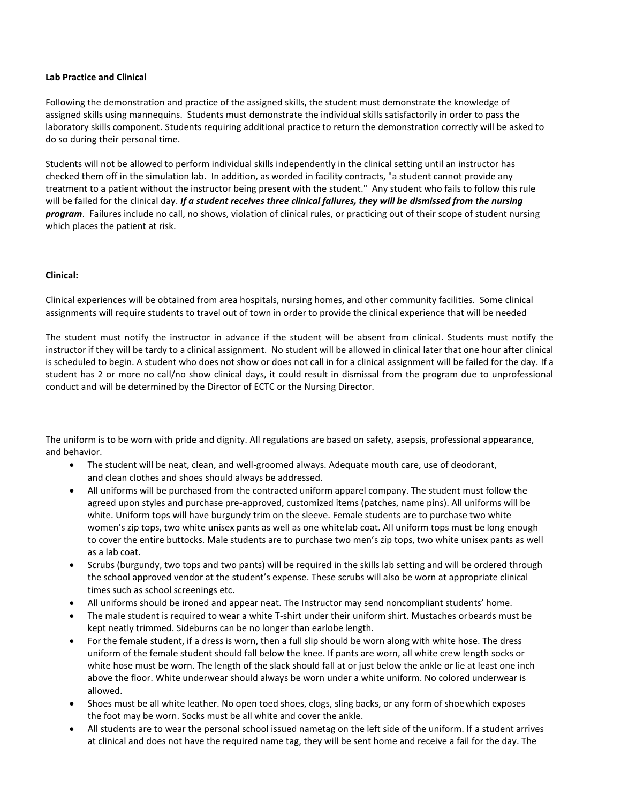#### **Lab Practice and Clinical**

Following the demonstration and practice of the assigned skills, the student must demonstrate the knowledge of assigned skills using mannequins. Students must demonstrate the individual skills satisfactorily in order to pass the laboratory skills component. Students requiring additional practice to return the demonstration correctly will be asked to do so during their personal time.

Students will not be allowed to perform individual skills independently in the clinical setting until an instructor has checked them off in the simulation lab. In addition, as worded in facility contracts, "a student cannot provide any treatment to a patient without the instructor being present with the student." Any student who fails to follow this rule will be failed for the clinical day. *If a student receives three clinical failures, they will be dismissed from the nursing program*. Failures include no call, no shows, violation of clinical rules, or practicing out of their scope of student nursing which places the patient at risk.

## **Clinical:**

Clinical experiences will be obtained from area hospitals, nursing homes, and other community facilities. Some clinical assignments will require students to travel out of town in order to provide the clinical experience that will be needed

The student must notify the instructor in advance if the student will be absent from clinical. Students must notify the instructor if they will be tardy to a clinical assignment. No student will be allowed in clinical later that one hour after clinical is scheduled to begin. A student who does not show or does not call in for a clinical assignment will be failed for the day. If a student has 2 or more no call/no show clinical days, it could result in dismissal from the program due to unprofessional conduct and will be determined by the Director of ECTC or the Nursing Director.

The uniform is to be worn with pride and dignity. All regulations are based on safety, asepsis, professional appearance, and behavior.

- The student will be neat, clean, and well-groomed always. Adequate mouth care, use of deodorant, and clean clothes and shoes should always be addressed.
- All uniforms will be purchased from the contracted uniform apparel company. The student must follow the agreed upon styles and purchase pre-approved, customized items (patches, name pins). All uniforms will be white. Uniform tops will have burgundy trim on the sleeve. Female students are to purchase two white women's zip tops, two white unisex pants as well as one whitelab coat. All uniform tops must be long enough to cover the entire buttocks. Male students are to purchase two men's zip tops, two white unisex pants as well as a lab coat.
- Scrubs (burgundy, two tops and two pants) will be required in the skills lab setting and will be ordered through the school approved vendor at the student's expense. These scrubs will also be worn at appropriate clinical times such as school screenings etc.
- All uniforms should be ironed and appear neat. The Instructor may send noncompliant students' home.
- The male student is required to wear a white T-shirt under their uniform shirt. Mustaches orbeards must be kept neatly trimmed. Sideburns can be no longer than earlobe length.
- For the female student, if a dress is worn, then a full slip should be worn along with white hose. The dress uniform of the female student should fall below the knee. If pants are worn, all white crew length socks or white hose must be worn. The length of the slack should fall at or just below the ankle or lie at least one inch above the floor. White underwear should always be worn under a white uniform. No colored underwear is allowed.
- Shoes must be all white leather. No open toed shoes, clogs, sling backs, or any form of shoewhich exposes the foot may be worn. Socks must be all white and cover the ankle.
- All students are to wear the personal school issued nametag on the left side of the uniform. If a student arrives at clinical and does not have the required name tag, they will be sent home and receive a fail for the day. The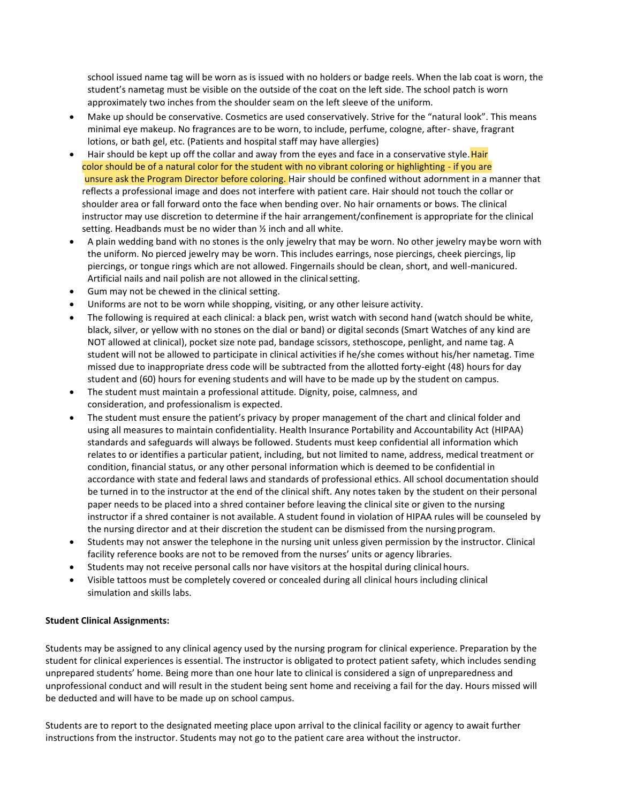school issued name tag will be worn as is issued with no holders or badge reels. When the lab coat is worn, the student's nametag must be visible on the outside of the coat on the left side. The school patch is worn approximately two inches from the shoulder seam on the left sleeve of the uniform.

- Make up should be conservative. Cosmetics are used conservatively. Strive for the "natural look". This means minimal eye makeup. No fragrances are to be worn, to include, perfume, cologne, after- shave, fragrant lotions, or bath gel, etc. (Patients and hospital staff may have allergies)
- Hair should be kept up off the collar and away from the eyes and face in a conservative style. Hair color should be of a natural color for the student with no vibrant coloring or highlighting - if you are unsure ask the Program Director before coloring. Hair should be confined without adornment in a manner that reflects a professional image and does not interfere with patient care. Hair should not touch the collar or shoulder area or fall forward onto the face when bending over. No hair ornaments or bows. The clinical instructor may use discretion to determine if the hair arrangement/confinement is appropriate for the clinical setting. Headbands must be no wider than  $\frac{1}{2}$  inch and all white.
- A plain wedding band with no stones is the only jewelry that may be worn. No other jewelry maybe worn with the uniform. No pierced jewelry may be worn. This includes earrings, nose piercings, cheek piercings, lip piercings, or tongue rings which are not allowed. Fingernails should be clean, short, and well-manicured. Artificial nails and nail polish are not allowed in the clinical setting.
- Gum may not be chewed in the clinical setting.
- Uniforms are not to be worn while shopping, visiting, or any other leisure activity.
- The following is required at each clinical: a black pen, wrist watch with second hand (watch should be white, black, silver, or yellow with no stones on the dial or band) or digital seconds (Smart Watches of any kind are NOT allowed at clinical), pocket size note pad, bandage scissors, stethoscope, penlight, and name tag. A student will not be allowed to participate in clinical activities if he/she comes without his/her nametag. Time missed due to inappropriate dress code will be subtracted from the allotted forty-eight (48) hours for day student and (60) hours for evening students and will have to be made up by the student on campus.
- The student must maintain a professional attitude. Dignity, poise, calmness, and consideration, and professionalism is expected.
- The student must ensure the patient's privacy by proper management of the chart and clinical folder and using all measures to maintain confidentiality. Health Insurance Portability and Accountability Act (HIPAA) standards and safeguards will always be followed. Students must keep confidential all information which relates to or identifies a particular patient, including, but not limited to name, address, medical treatment or condition, financial status, or any other personal information which is deemed to be confidential in accordance with state and federal laws and standards of professional ethics. All school documentation should be turned in to the instructor at the end of the clinical shift. Any notes taken by the student on their personal paper needs to be placed into a shred container before leaving the clinical site or given to the nursing instructor if a shred container is not available. A student found in violation of HIPAA rules will be counseled by the nursing director and at their discretion the student can be dismissed from the nursing program.
- Students may not answer the telephone in the nursing unit unless given permission by the instructor. Clinical facility reference books are not to be removed from the nurses' units or agency libraries.
- Students may not receive personal calls nor have visitors at the hospital during clinical hours.
- Visible tattoos must be completely covered or concealed during all clinical hours including clinical simulation and skills labs.

# **Student Clinical Assignments:**

Students may be assigned to any clinical agency used by the nursing program for clinical experience. Preparation by the student for clinical experiences is essential. The instructor is obligated to protect patient safety, which includes sending unprepared students' home. Being more than one hour late to clinical is considered a sign of unpreparedness and unprofessional conduct and will result in the student being sent home and receiving a fail for the day. Hours missed will be deducted and will have to be made up on school campus.

Students are to report to the designated meeting place upon arrival to the clinical facility or agency to await further instructions from the instructor. Students may not go to the patient care area without the instructor.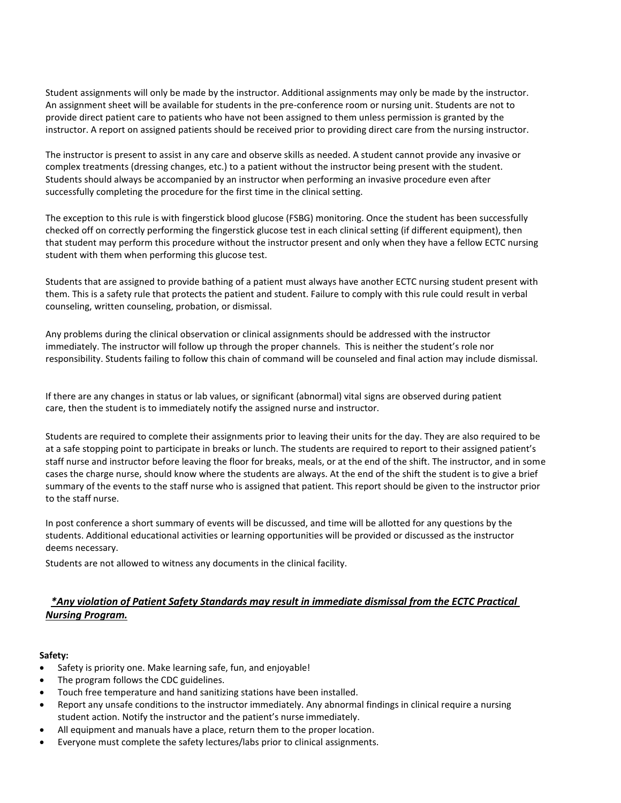Student assignments will only be made by the instructor. Additional assignments may only be made by the instructor. An assignment sheet will be available for students in the pre-conference room or nursing unit. Students are not to provide direct patient care to patients who have not been assigned to them unless permission is granted by the instructor. A report on assigned patients should be received prior to providing direct care from the nursing instructor.

The instructor is present to assist in any care and observe skills as needed. A student cannot provide any invasive or complex treatments (dressing changes, etc.) to a patient without the instructor being present with the student. Students should always be accompanied by an instructor when performing an invasive procedure even after successfully completing the procedure for the first time in the clinical setting.

The exception to this rule is with fingerstick blood glucose (FSBG) monitoring. Once the student has been successfully checked off on correctly performing the fingerstick glucose test in each clinical setting (if different equipment), then that student may perform this procedure without the instructor present and only when they have a fellow ECTC nursing student with them when performing this glucose test.

Students that are assigned to provide bathing of a patient must always have another ECTC nursing student present with them. This is a safety rule that protects the patient and student. Failure to comply with this rule could result in verbal counseling, written counseling, probation, or dismissal.

Any problems during the clinical observation or clinical assignments should be addressed with the instructor immediately. The instructor will follow up through the proper channels. This is neither the student's role nor responsibility. Students failing to follow this chain of command will be counseled and final action may include dismissal.

If there are any changes in status or lab values, or significant (abnormal) vital signs are observed during patient care, then the student is to immediately notify the assigned nurse and instructor.

Students are required to complete their assignments prior to leaving their units for the day. They are also required to be at a safe stopping point to participate in breaks or lunch. The students are required to report to their assigned patient's staff nurse and instructor before leaving the floor for breaks, meals, or at the end of the shift. The instructor, and in some cases the charge nurse, should know where the students are always. At the end of the shift the student is to give a brief summary of the events to the staff nurse who is assigned that patient. This report should be given to the instructor prior to the staff nurse.

In post conference a short summary of events will be discussed, and time will be allotted for any questions by the students. Additional educational activities or learning opportunities will be provided or discussed as the instructor deems necessary.

Students are not allowed to witness any documents in the clinical facility.

# *\*Any violation of Patient Safety Standards may result in immediate dismissal from the ECTC Practical Nursing Program.*

# **Safety:**

- Safety is priority one. Make learning safe, fun, and enjoyable!
- The program follows the CDC guidelines.
- Touch free temperature and hand sanitizing stations have been installed.
- Report any unsafe conditions to the instructor immediately. Any abnormal findings in clinical require a nursing student action. Notify the instructor and the patient's nurse immediately.
- All equipment and manuals have a place, return them to the proper location.
- Everyone must complete the safety lectures/labs prior to clinical assignments.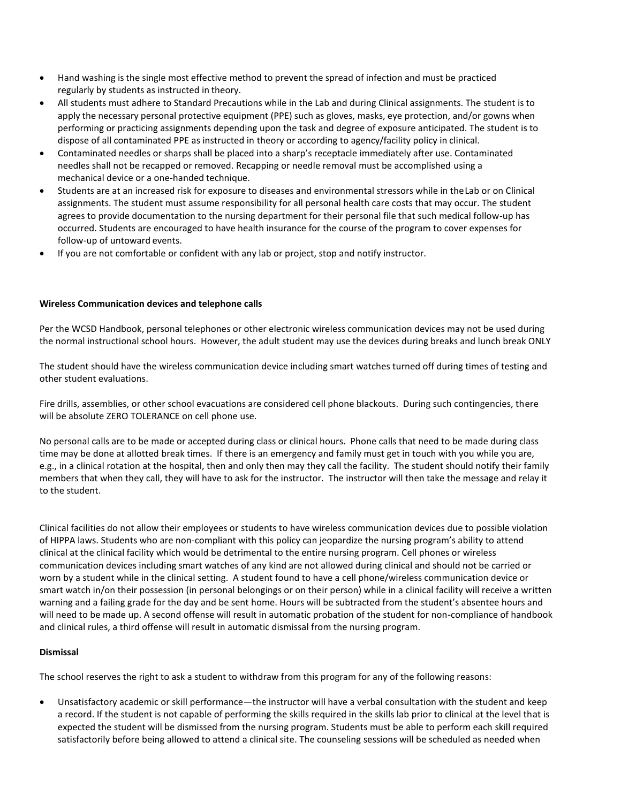- Hand washing is the single most effective method to prevent the spread of infection and must be practiced regularly by students as instructed in theory.
- All students must adhere to Standard Precautions while in the Lab and during Clinical assignments. The student is to apply the necessary personal protective equipment (PPE) such as gloves, masks, eye protection, and/or gowns when performing or practicing assignments depending upon the task and degree of exposure anticipated. The student is to dispose of all contaminated PPE as instructed in theory or according to agency/facility policy in clinical.
- Contaminated needles or sharps shall be placed into a sharp's receptacle immediately after use. Contaminated needles shall not be recapped or removed. Recapping or needle removal must be accomplished using a mechanical device or a one-handed technique.
- Students are at an increased risk for exposure to diseases and environmental stressors while in theLab or on Clinical assignments. The student must assume responsibility for all personal health care costs that may occur. The student agrees to provide documentation to the nursing department for their personal file that such medical follow-up has occurred. Students are encouraged to have health insurance for the course of the program to cover expenses for follow-up of untoward events.
- If you are not comfortable or confident with any lab or project, stop and notify instructor.

# **Wireless Communication devices and telephone calls**

Per the WCSD Handbook, personal telephones or other electronic wireless communication devices may not be used during the normal instructional school hours. However, the adult student may use the devices during breaks and lunch break ONLY

The student should have the wireless communication device including smart watches turned off during times of testing and other student evaluations.

Fire drills, assemblies, or other school evacuations are considered cell phone blackouts. During such contingencies, there will be absolute ZERO TOLERANCE on cell phone use.

No personal calls are to be made or accepted during class or clinical hours. Phone calls that need to be made during class time may be done at allotted break times. If there is an emergency and family must get in touch with you while you are, e.g., in a clinical rotation at the hospital, then and only then may they call the facility. The student should notify their family members that when they call, they will have to ask for the instructor. The instructor will then take the message and relay it to the student.

Clinical facilities do not allow their employees or students to have wireless communication devices due to possible violation of HIPPA laws. Students who are non-compliant with this policy can jeopardize the nursing program's ability to attend clinical at the clinical facility which would be detrimental to the entire nursing program. Cell phones or wireless communication devices including smart watches of any kind are not allowed during clinical and should not be carried or worn by a student while in the clinical setting. A student found to have a cell phone/wireless communication device or smart watch in/on their possession (in personal belongings or on their person) while in a clinical facility will receive a written warning and a failing grade for the day and be sent home. Hours will be subtracted from the student's absentee hours and will need to be made up. A second offense will result in automatic probation of the student for non-compliance of handbook and clinical rules, a third offense will result in automatic dismissal from the nursing program.

# **Dismissal**

The school reserves the right to ask a student to withdraw from this program for any of the following reasons:

• Unsatisfactory academic or skill performance—the instructor will have a verbal consultation with the student and keep a record. If the student is not capable of performing the skills required in the skills lab prior to clinical at the level that is expected the student will be dismissed from the nursing program. Students must be able to perform each skill required satisfactorily before being allowed to attend a clinical site. The counseling sessions will be scheduled as needed when